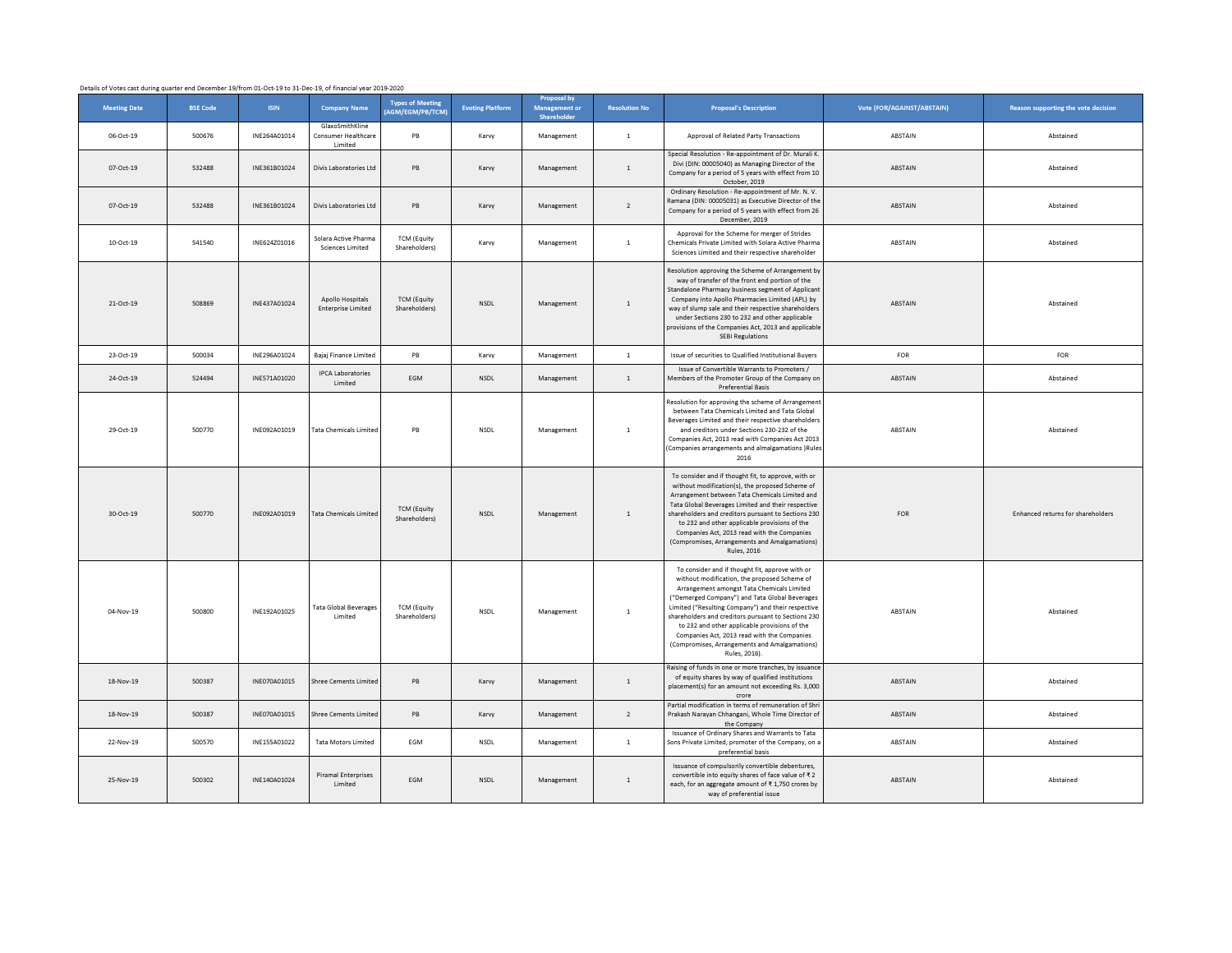| Details of Votes cast during quarter end December 19/from 01-Oct-19 to 31-Dec-19, of financial year 2019-2020 |                 |              |                                                   |                                             |                         |                                                    |                      |                                                                                                                                                                                                                                                                                                                                                                                                                                                                                |                            |                                     |
|---------------------------------------------------------------------------------------------------------------|-----------------|--------------|---------------------------------------------------|---------------------------------------------|-------------------------|----------------------------------------------------|----------------------|--------------------------------------------------------------------------------------------------------------------------------------------------------------------------------------------------------------------------------------------------------------------------------------------------------------------------------------------------------------------------------------------------------------------------------------------------------------------------------|----------------------------|-------------------------------------|
| <b>Meeting Date</b>                                                                                           | <b>BSE Code</b> | <b>ISIN</b>  | <b>Company Name</b>                               | <b>Types of Meeting</b><br>(AGM/EGM/PB/TCM) | <b>Evoting Platform</b> | <b>Proposal by</b><br>Management or<br>Shareholder | <b>Resolution No</b> | <b>Proposal's Description</b>                                                                                                                                                                                                                                                                                                                                                                                                                                                  | Vote (FOR/AGAINST/ABSTAIN) | Reason supporting the vote decision |
| 06-Oct-19                                                                                                     | 500676          | INE264A01014 | GlaxoSmithKline<br>Consumer Healthcare<br>Limited | PB                                          | Karvy                   | Management                                         | $1\,$                | Approval of Related Party Transactions                                                                                                                                                                                                                                                                                                                                                                                                                                         | ABSTAIN                    | Abstained                           |
| 07-Oct-19                                                                                                     | 532488          | INE361B01024 | Divis Laboratories Ltd                            | PB                                          | Karvy                   | Management                                         | $\mathbf{1}$         | Special Resolution - Re-appointment of Dr. Murali K.<br>Divi (DIN: 00005040) as Managing Director of the<br>Company for a period of 5 years with effect from 10<br>October, 2019                                                                                                                                                                                                                                                                                               | ABSTAIN                    | Abstained                           |
| 07-Oct-19                                                                                                     | 532488          | INF361B01024 | Divis Laboratories Ltd                            | PB                                          | Karvy                   | Management                                         | $\overline{2}$       | Ordinary Resolution - Re-appointment of Mr. N. V.<br>Ramana (DIN: 00005031) as Executive Director of the<br>Company for a period of 5 years with effect from 26<br>December, 2019                                                                                                                                                                                                                                                                                              | ABSTAIN                    | Abstained                           |
| 10-Oct-19                                                                                                     | 541540          | INE624Z01016 | Solara Active Pharma<br><b>Sciences Limited</b>   | <b>TCM (Equity</b><br>Shareholders)         | Karvy                   | Management                                         | $1\,$                | Approval for the Scheme for merger of Strides<br>Chemicals Private Limited with Solara Active Pharma<br>Sciences Limited and their respective shareholder                                                                                                                                                                                                                                                                                                                      | ABSTAIN                    | Abstained                           |
| 21-Oct-19                                                                                                     | 508869          | INE437A01024 | Apollo Hospitals<br><b>Enterprise Limited</b>     | <b>TCM (Equity</b><br>Shareholders)         | <b>NSDL</b>             | Management                                         | $\,$ 1 $\,$          | Resolution approving the Scheme of Arrangement by<br>way of transfer of the front end portion of the<br>Standalone Pharmacy business segment of Applicant<br>Company into Apollo Pharmacies Limited (APL) by<br>way of slump sale and their respective shareholders<br>under Sections 230 to 232 and other applicable<br>provisions of the Companies Act, 2013 and applicable<br><b>SEBI Regulations</b>                                                                       | ABSTAIN                    | Abstained                           |
| 23-Oct-19                                                                                                     | 500034          | INE296A01024 | Bajaj Finance Limited                             | PB                                          | Karvy                   | Management                                         | $\mathbf{1}$         | Issue of securities to Qualified Institutional Buyers                                                                                                                                                                                                                                                                                                                                                                                                                          | FOR                        | FOR                                 |
| 24-Oct-19                                                                                                     | 524494          | INE571A01020 | <b>IPCA Laboratories</b><br>Limited               | EGM                                         | NSDL                    | Management                                         | $\,$ 1 $\,$          | Issue of Convertible Warrants to Promoters /<br>Members of the Promoter Group of the Company or<br><b>Preferential Rasis</b>                                                                                                                                                                                                                                                                                                                                                   | ABSTAIN                    | Abstained                           |
| 29-Oct-19                                                                                                     | 500770          | INE092A01019 | Tata Chemicals Limited                            | PB                                          | <b>NSDL</b>             | Management                                         | $\mathbf{1}$         | Resolution for approving the scheme of Arrangement<br>between Tata Chemicals Limited and Tata Global<br>Beverages Limited and their respective shareholders<br>and creditors under Sections 230-232 of the<br>Companies Act, 2013 read with Companies Act 2013<br>(Companies arrangements and almalgamations )Rules<br>2016                                                                                                                                                    | ABSTAIN                    | Abstained                           |
| 30-Oct-19                                                                                                     | 500770          | INF092A01019 | Tata Chemicals Limite                             | <b>TCM (Equity</b><br>Shareholders)         | <b>NSDL</b>             | Management                                         | $\mathbf{1}$         | To consider and if thought fit, to approve, with or<br>without modification(s), the proposed Scheme of<br>Arrangement between Tata Chemicals Limited and<br>Tata Global Beverages Limited and their respective<br>shareholders and creditors pursuant to Sections 230<br>to 232 and other applicable provisions of the<br>Companies Act, 2013 read with the Companies<br>(Compromises, Arrangements and Amalgamations)<br><b>Rules</b> , 2016                                  | <b>FOR</b>                 | Enhanced returns for shareholders   |
| 04-Nov-19                                                                                                     | 500800          | INE192A01025 | Tata Global Beverage:<br>Limited                  | <b>TCM (Equity</b><br>Shareholders)         | <b>NSDL</b>             | Management                                         | $\mathbf{1}$         | To consider and if thought fit, approve with or<br>without modification, the proposed Scheme of<br>Arrangement amongst Tata Chemicals Limited<br>("Demerged Company") and Tata Global Beverages<br>Limited ("Resulting Company") and their respective<br>shareholders and creditors pursuant to Sections 230<br>to 232 and other applicable provisions of the<br>Companies Act, 2013 read with the Companies<br>(Compromises, Arrangements and Amalgamations)<br>Rules, 2016). | ABSTAIN                    | Abstained                           |
| 18-Nov-19                                                                                                     | 500387          | INE070A01015 | Shree Cements Limited                             | PB                                          | Karvy                   | Management                                         | $1\,$                | Raising of funds in one or more tranches, by issuance<br>of equity shares by way of qualified institutions<br>placement(s) for an amount not exceeding Rs. 3,000<br>crore                                                                                                                                                                                                                                                                                                      | ABSTAIN                    | Abstained                           |
| 18-Nov-19                                                                                                     | 500387          | INE070A01015 | Shree Cements Limite                              | PB                                          | Karvy                   | Management                                         | $\overline{2}$       | Partial modification in terms of remuneration of Shri<br>Prakash Narayan Chhangani, Whole Time Director of<br>the Company                                                                                                                                                                                                                                                                                                                                                      | ABSTAIN                    | Abstained                           |
| 22-Nov-19                                                                                                     | 500570          | INE155A01022 | <b>Tata Motors Limited</b>                        | EGM                                         | NSDL                    | Management                                         | $1\,$                | Issuance of Ordinary Shares and Warrants to Tata<br>Sons Private Limited, promoter of the Company, on a<br>preferential basis                                                                                                                                                                                                                                                                                                                                                  | ABSTAIN                    | Abstained                           |
| 25-Nov-19                                                                                                     | 500302          | INE140A01024 | <b>Piramal Enterprises</b><br>Limited             | <b>FGM</b>                                  | <b>NSDL</b>             | Management                                         | $\mathbf{1}$         | Issuance of compulsorily convertible debentures.<br>convertible into equity shares of face value of ₹2<br>each, for an aggregate amount of ₹1,750 crores by<br>way of preferential issue                                                                                                                                                                                                                                                                                       | ABSTAIN                    | Abstained                           |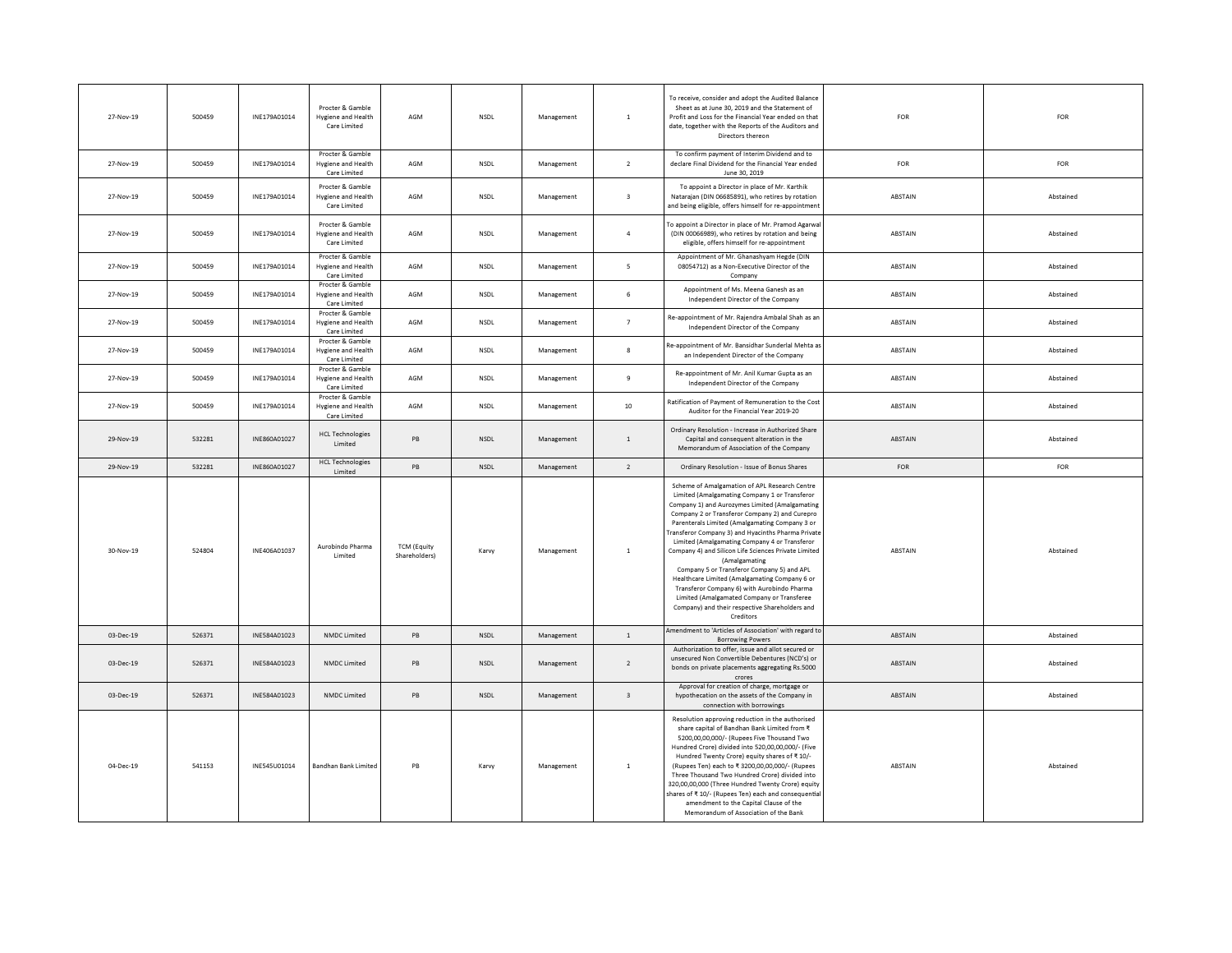| 27-Nov-19 | 500459 | INF179A01014 | Procter & Gamble<br>Hygiene and Health<br>Care Limited | AGM                                 | <b>NSDI</b> | Management | $\mathbf{1}$            | To receive, consider and adopt the Audited Balance<br>Sheet as at June 30, 2019 and the Statement of<br>Profit and Loss for the Financial Year ended on that<br>date, together with the Reports of the Auditors and<br>Directors thereon                                                                                                                                                                                                                                                                                                                                                                                                                                                        | <b>FOR</b> | FOR       |
|-----------|--------|--------------|--------------------------------------------------------|-------------------------------------|-------------|------------|-------------------------|-------------------------------------------------------------------------------------------------------------------------------------------------------------------------------------------------------------------------------------------------------------------------------------------------------------------------------------------------------------------------------------------------------------------------------------------------------------------------------------------------------------------------------------------------------------------------------------------------------------------------------------------------------------------------------------------------|------------|-----------|
| 27-Nov-19 | 500459 | INE179A01014 | Procter & Gamble<br>Hygiene and Health<br>Care Limited | AGM                                 | <b>NSDL</b> | Management | $\overline{2}$          | To confirm payment of Interim Dividend and to<br>declare Final Dividend for the Financial Year ended<br>June 30, 2019                                                                                                                                                                                                                                                                                                                                                                                                                                                                                                                                                                           | FOR        | FOR       |
| 27-Nov-19 | 500459 | INE179A01014 | Procter & Gamble<br>Hygiene and Health<br>Care Limited | AGM                                 | <b>NSDL</b> | Management | $\overline{\mathbf{3}}$ | To appoint a Director in place of Mr. Karthik<br>Natarajan (DIN 06685891), who retires by rotation<br>and being eligible, offers himself for re-appointment                                                                                                                                                                                                                                                                                                                                                                                                                                                                                                                                     | ABSTAIN    | Abstained |
| 27-Nov-19 | 500459 | INE179A01014 | Procter & Gamble<br>Hygiene and Health<br>Care Limited | AGM                                 | <b>NSDL</b> | Management | $\overline{4}$          | To appoint a Director in place of Mr. Pramod Agarwa<br>(DIN 00066989), who retires by rotation and being<br>eligible, offers himself for re-appointment                                                                                                                                                                                                                                                                                                                                                                                                                                                                                                                                         | ABSTAIN    | Abstained |
| 27-Nov-19 | 500459 | INE179A01014 | Procter & Gamble<br>Hygiene and Health<br>Care Limited | AGM                                 | NSDL        | Management | 5                       | Appointment of Mr. Ghanashyam Hegde (DIN<br>08054712) as a Non-Executive Director of the<br>Company                                                                                                                                                                                                                                                                                                                                                                                                                                                                                                                                                                                             | ABSTAIN    | Abstained |
| 27-Nov-19 | 500459 | INE179A01014 | Procter & Gamble<br>Hygiene and Health<br>Care Limited | AGM                                 | <b>NSDL</b> | Management | 6                       | Appointment of Ms. Meena Ganesh as an<br>Independent Director of the Company                                                                                                                                                                                                                                                                                                                                                                                                                                                                                                                                                                                                                    | ABSTAIN    | Abstained |
| 27-Nov-19 | 500459 | INE179A01014 | Procter & Gamble<br>Hygiene and Health<br>Care Limited | AGM                                 | <b>NSDL</b> | Management | $\overline{7}$          | Re-appointment of Mr. Rajendra Ambalal Shah as an<br>Independent Director of the Company                                                                                                                                                                                                                                                                                                                                                                                                                                                                                                                                                                                                        | ABSTAIN    | Abstained |
| 27-Nov-19 | 500459 | INE179A01014 | Procter & Gamble<br>Hygiene and Health<br>Care Limited | AGM                                 | NSDL        | Management | $\mathbf{s}$            | Re-appointment of Mr. Bansidhar Sunderlal Mehta as<br>an Independent Director of the Company                                                                                                                                                                                                                                                                                                                                                                                                                                                                                                                                                                                                    | ABSTAIN    | Abstained |
| 27-Nov-19 | 500459 | INF179A01014 | Procter & Gamble<br>Hygiene and Health<br>Care Limited | AGM                                 | <b>NSDI</b> | Management | $\overline{9}$          | Re-appointment of Mr. Anil Kumar Gupta as an<br>Independent Director of the Company                                                                                                                                                                                                                                                                                                                                                                                                                                                                                                                                                                                                             | ABSTAIN    | Abstained |
| 27-Nov-19 | 500459 | INE179A01014 | Procter & Gamble<br>Hygiene and Health<br>Care Limited | AGM                                 | NSDL        | Management | 10                      | Ratification of Payment of Remuneration to the Cos<br>Auditor for the Financial Year 2019-20                                                                                                                                                                                                                                                                                                                                                                                                                                                                                                                                                                                                    | ABSTAIN    | Abstained |
| 29-Nov-19 | 532281 | INE860A01027 | <b>HCL Technologies</b><br>Limited                     | PB                                  | NSDL        | Management | $\,$ 1 $\,$             | Ordinary Resolution - Increase in Authorized Share<br>Capital and consequent alteration in the<br>Memorandum of Association of the Company                                                                                                                                                                                                                                                                                                                                                                                                                                                                                                                                                      | ABSTAIN    | Abstained |
| 29-Nov-19 | 532281 | INE860A01027 | <b>HCL Technologies</b><br>Limited                     | PB                                  | NSDL        | Management | $\overline{2}$          | Ordinary Resolution - Issue of Bonus Shares                                                                                                                                                                                                                                                                                                                                                                                                                                                                                                                                                                                                                                                     | FOR        | FOR       |
| 30-Nov-19 | 524804 | INE406A01037 | Aurobindo Pharma<br>Limited                            | <b>TCM (Equity</b><br>Shareholders) | Karvy       | Management | $\,$ 1 $\,$             | Scheme of Amalgamation of APL Research Centre<br>Limited (Amalgamating Company 1 or Transferor<br>Company 1) and Aurozymes Limited (Amalgamating<br>Company 2 or Transferor Company 2) and Curepro<br>Parenterals Limited (Amalgamating Company 3 or<br>Transferor Company 3) and Hyacinths Pharma Private<br>Limited (Amalgamating Company 4 or Transferor<br>Company 4) and Silicon Life Sciences Private Limited<br>(Amalgamating<br>Company 5 or Transferor Company 5) and APL<br>Healthcare Limited (Amalgamating Company 6 or<br>Transferor Company 6) with Aurobindo Pharma<br>Limited (Amalgamated Company or Transferee<br>Company) and their respective Shareholders and<br>Creditors | ABSTAIN    | Abstained |
| 03-Dec-19 | 526371 | INE584A01023 | NMDC Limited                                           | PB                                  | NSDL        | Management | $\,$ 1 $\,$             | Amendment to 'Articles of Association' with regard to<br><b>Borrowing Powers</b>                                                                                                                                                                                                                                                                                                                                                                                                                                                                                                                                                                                                                | ABSTAIN    | Abstained |
| 03-Dec-19 | 526371 | INF584A01023 | NMDC Limited                                           | <b>PB</b>                           | NSDL        | Management | $\overline{2}$          | Authorization to offer, issue and allot secured or<br>unsecured Non Convertible Debentures (NCD's) or<br>bonds on private placements aggregating Rs.5000<br>crores                                                                                                                                                                                                                                                                                                                                                                                                                                                                                                                              | ABSTAIN    | Abstained |
| 03-Dec-19 | 526371 | INE584A01023 | NMDC Limited                                           | PB                                  | NSDL        | Management | $\overline{\mathbf{3}}$ | Approval for creation of charge, mortgage or<br>hypothecation on the assets of the Company in<br>connection with borrowings                                                                                                                                                                                                                                                                                                                                                                                                                                                                                                                                                                     | ABSTAIN    | Abstained |
| 04-Dec-19 | 541153 | INE545U01014 | <b>Bandhan Bank Limited</b>                            | PB                                  | Karvy       | Management | $\mathbf{1}$            | Resolution approving reduction in the authorised<br>share capital of Bandhan Bank Limited from ₹<br>5200,00,00,000/- (Rupees Five Thousand Two<br>Hundred Crore) divided into 520,00,00,000/- (Five<br>Hundred Twenty Crore) equity shares of ₹ 10/-<br>(Rupees Ten) each to ₹ 3200,00,00,000/- (Rupees<br>Three Thousand Two Hundred Crore) divided into<br>320,00,00,000 (Three Hundred Twenty Crore) equity<br>shares of ₹10/- (Rupees Ten) each and consequential<br>amendment to the Capital Clause of the<br>Memorandum of Association of the Bank                                                                                                                                        | ABSTAIN    | Abstained |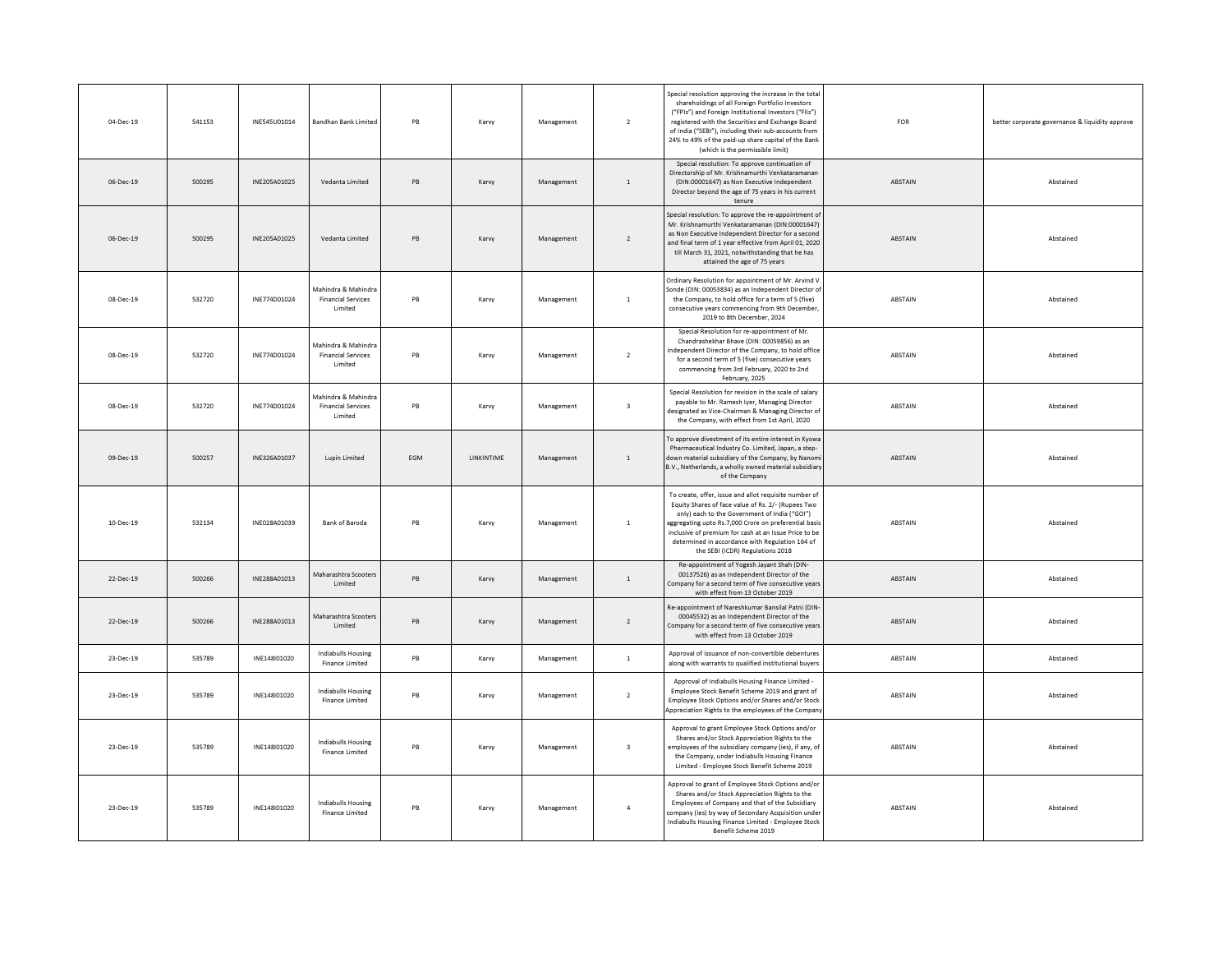| 04-Dec-19 | 541153 | INE545U01014 | Bandhan Bank Limited                                               | PB        | Karvy      | Management | $\overline{2}$          | Special resolution approving the increase in the total<br>shareholdings of all Foreign Portfolio Investors<br>("FPIs") and Foreign Institutional Investors ("FIIs")<br>registered with the Securities and Exchange Board<br>of India ("SEBI"), including their sub-accounts from<br>24% to 49% of the paid-up share capital of the Bank<br>(which is the permissible limit) | FOR            | better corporate governance & liquidity approve |
|-----------|--------|--------------|--------------------------------------------------------------------|-----------|------------|------------|-------------------------|-----------------------------------------------------------------------------------------------------------------------------------------------------------------------------------------------------------------------------------------------------------------------------------------------------------------------------------------------------------------------------|----------------|-------------------------------------------------|
| 06-Dec-19 | 500295 | INE205A01025 | Vedanta Limited                                                    | PB        | Karvy      | Management | $\,$ 1                  | Special resolution: To approve continuation of<br>Directorship of Mr. Krishnamurthi Venkataramanan<br>(DIN:00001647) as Non Executive Independent<br>Director beyond the age of 75 years in his current<br>tenure                                                                                                                                                           | <b>ABSTAIN</b> | Abstained                                       |
| 06-Dec-19 | 500295 | INE205A01025 | Vedanta Limited                                                    | PB        | Karvy      | Management | $\overline{2}$          | Special resolution: To approve the re-appointment of<br>Mr. Krishnamurthi Venkataramanan (DIN:00001647)<br>as Non Executive Independent Director for a secon<br>and final term of 1 year effective from April 01, 2020<br>till March 31, 2021, notwithstanding that he has<br>attained the age of 75 years                                                                  | ABSTAIN        | Abstained                                       |
| 08-Dec-19 | 532720 | INE774D01024 | Mahindra & Mahindra<br><b>Financial Services</b><br>Limited        | PB        | Karvy      | Management | $\,$ 1                  | Ordinary Resolution for appointment of Mr. Arvind V<br>Sonde (DIN: 00053834) as an Independent Director o<br>the Company, to hold office for a term of 5 (five)<br>consecutive vears commencing from 9th December.<br>2019 to 8th December, 2024                                                                                                                            | ABSTAIN        | Abstained                                       |
| 08-Dec-19 | 532720 | INE774D01024 | Mahindra & Mahindra<br><b>Financial Services</b><br>Limited        | PB        | Karvy      | Management | $\overline{2}$          | Special Resolution for re-appointment of Mr.<br>Chandrashekhar Bhave (DIN: 00059856) as an<br>ndependent Director of the Company, to hold offic<br>for a second term of 5 (five) consecutive years<br>commencing from 3rd February, 2020 to 2nd<br>February, 2025                                                                                                           | ABSTAIN        | Abstained                                       |
| 08-Dec-19 | 532720 | INE774D01024 | Mahindra & Mahindra<br><b>Financial Services</b><br><b>Limited</b> | PB        | Karvy      | Management | $\overline{\mathbf{3}}$ | Special Resolution for revision in the scale of salary<br>payable to Mr. Ramesh Iyer, Managing Director<br>designated as Vice-Chairman & Managing Director of<br>the Company, with effect from 1st April, 2020                                                                                                                                                              | ABSTAIN        | Abstained                                       |
| 09-Dec-19 | 500257 | INE326A01037 | Lupin Limited                                                      | FGM       | LINKINTIME | Management | $\mathbf{1}$            | To approve divestment of its entire interest in Kyowa<br>Pharmaceutical Industry Co. Limited, Japan, a step-<br>down material subsidiary of the Company, by Nanom<br>B.V., Netherlands, a wholly owned material subsidiar<br>of the Company                                                                                                                                 | ABSTAIN        | Abstained                                       |
| 10-Dec-19 | 532134 | INE028A01039 | Bank of Baroda                                                     | PB        | Karvy      | Management | $\mathbf{1}$            | To create, offer, issue and allot requisite number of<br>Equity Shares of face value of Rs. 2/- (Rupees Two<br>only) each to the Government of India ("GOI")<br>aggregating upto Rs.7,000 Crore on preferential basis<br>inclusive of premium for cash at an Issue Price to be<br>determined in accordance with Regulation 164 of<br>the SEBI (ICDR) Regulations 2018       | ABSTAIN        | Abstained                                       |
| 22-Dec-19 | 500266 | INE288A01013 | Maharashtra Scooters<br>Limited                                    | PB        | Karvy      | Management | $\,$ 1                  | Re-appointment of Yogesh Jayant Shah (DIN-<br>00137526) as an Independent Director of the<br>Company for a second term of five consecutive year<br>with effect from 13 October 2019                                                                                                                                                                                         | ABSTAIN        | Abstained                                       |
| 22-Dec-19 | 500266 | INF288A01013 | Maharashtra Scooters<br>Limited                                    | <b>PB</b> | Karvy      | Management | $\overline{2}$          | Re-appointment of Nareshkumar Bansilal Patni (DIN<br>00045532) as an Independent Director of the<br>Company for a second term of five consecutive years<br>with effect from 13 October 2019                                                                                                                                                                                 | <b>ABSTAIN</b> | Abstained                                       |
| 23-Dec-19 | 535789 | INE148101020 | Indiabulls Housing<br>Finance Limited                              | PB        | Karvy      | Management | $\overline{1}$          | Approval of issuance of non-convertible debentures<br>along with warrants to qualified institutional buyers                                                                                                                                                                                                                                                                 | ABSTAIN        | Abstained                                       |
| 23-Dec-19 | 535789 | INE148I01020 | Indiabulls Housing<br>Finance Limited                              | PB        | Karvy      | Management | $\overline{2}$          | Approval of Indiabulls Housing Finance Limited -<br>Employee Stock Benefit Scheme 2019 and grant of<br>Employee Stock Options and/or Shares and/or Stock<br>Appreciation Rights to the employees of the Compar                                                                                                                                                              | ABSTAIN        | Abstained                                       |
| 23-Dec-19 | 535789 | INE148I01020 | <b>Indiabulls Housing</b><br>Finance Limited                       | PB        | Karvy      | Management | $\overline{\mathbf{3}}$ | Approval to grant Employee Stock Options and/or<br>Shares and/or Stock Appreciation Rights to the<br>employees of the subsidiary company (ies), if any, o<br>the Company, under Indiabulls Housing Finance<br>Limited - Employee Stock Benefit Scheme 2019                                                                                                                  | ABSTAIN        | Abstained                                       |
| 23-Dec-19 | 535789 | INE148I01020 | Indiabulls Housing<br>Finance Limited                              | PB        | Karvy      | Management | $\overline{4}$          | Approval to grant of Employee Stock Options and/or<br>Shares and/or Stock Appreciation Rights to the<br>Employees of Company and that of the Subsidiary<br>company (ies) by way of Secondary Acquisition unde<br>Indiabulls Housing Finance Limited - Employee Stock<br>Benefit Scheme 2019                                                                                 | ABSTAIN        | Abstained                                       |